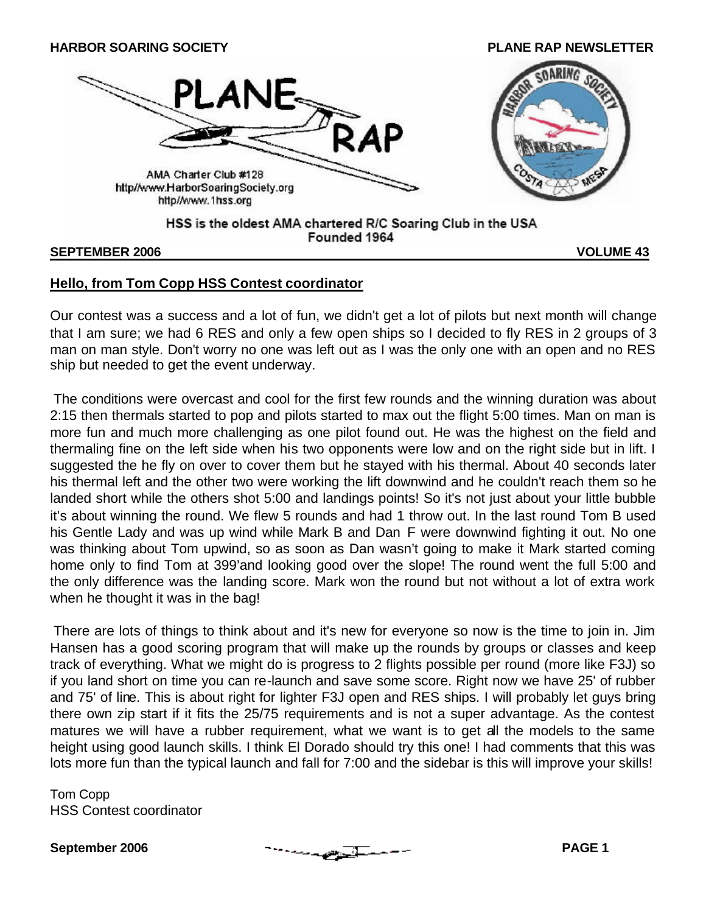

#### **SEPTEMBER 2006 VOLUME 43**

### **Hello, from Tom Copp HSS Contest coordinator**

Our contest was a success and a lot of fun, we didn't get a lot of pilots but next month will change that I am sure; we had 6 RES and only a few open ships so I decided to fly RES in 2 groups of 3 man on man style. Don't worry no one was left out as I was the only one with an open and no RES ship but needed to get the event underway.

The conditions were overcast and cool for the first few rounds and the winning duration was about 2:15 then thermals started to pop and pilots started to max out the flight 5:00 times. Man on man is more fun and much more challenging as one pilot found out. He was the highest on the field and thermaling fine on the left side when his two opponents were low and on the right side but in lift. I suggested the he fly on over to cover them but he stayed with his thermal. About 40 seconds later his thermal left and the other two were working the lift downwind and he couldn't reach them so he landed short while the others shot 5:00 and landings points! So it's not just about your little bubble it's about winning the round. We flew 5 rounds and had 1 throw out. In the last round Tom B used his Gentle Lady and was up wind while Mark B and Dan F were downwind fighting it out. No one was thinking about Tom upwind, so as soon as Dan wasn't going to make it Mark started coming home only to find Tom at 399'and looking good over the slope! The round went the full 5:00 and the only difference was the landing score. Mark won the round but not without a lot of extra work when he thought it was in the bag!

There are lots of things to think about and it's new for everyone so now is the time to join in. Jim Hansen has a good scoring program that will make up the rounds by groups or classes and keep track of everything. What we might do is progress to 2 flights possible per round (more like F3J) so if you land short on time you can re-launch and save some score. Right now we have 25' of rubber and 75' of line. This is about right for lighter F3J open and RES ships. I will probably let guys bring there own zip start if it fits the 25/75 requirements and is not a super advantage. As the contest matures we will have a rubber requirement, what we want is to get all the models to the same height using good launch skills. I think El Dorado should try this one! I had comments that this was lots more fun than the typical launch and fall for 7:00 and the sidebar is this will improve your skills!

Tom Copp HSS Contest coordinator

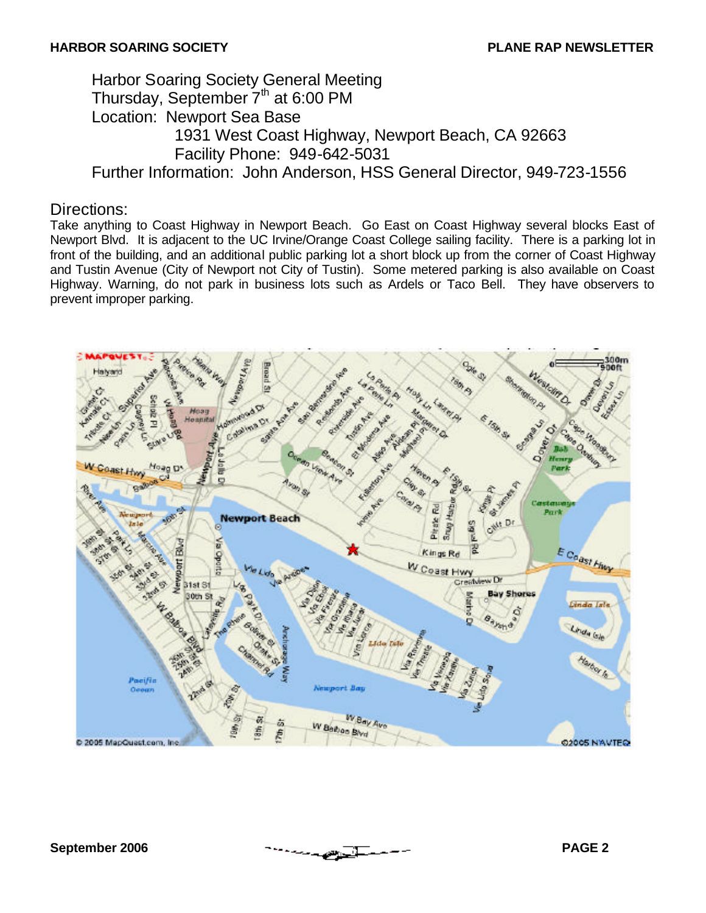## Harbor Soaring Society General Meeting Thursday, September 7<sup>th</sup> at 6:00 PM Location: Newport Sea Base 1931 West Coast Highway, Newport Beach, CA 92663 Facility Phone: 949-642-5031 Further Information: John Anderson, HSS General Director, 949-723-1556

### Directions:

Take anything to Coast Highway in Newport Beach. Go East on Coast Highway several blocks East of Newport Blvd. It is adjacent to the UC Irvine/Orange Coast College sailing facility. There is a parking lot in front of the building, and an additional public parking lot a short block up from the corner of Coast Highway and Tustin Avenue (City of Newport not City of Tustin). Some metered parking is also available on Coast Highway. Warning, do not park in business lots such as Ardels or Taco Bell. They have observers to prevent improper parking.

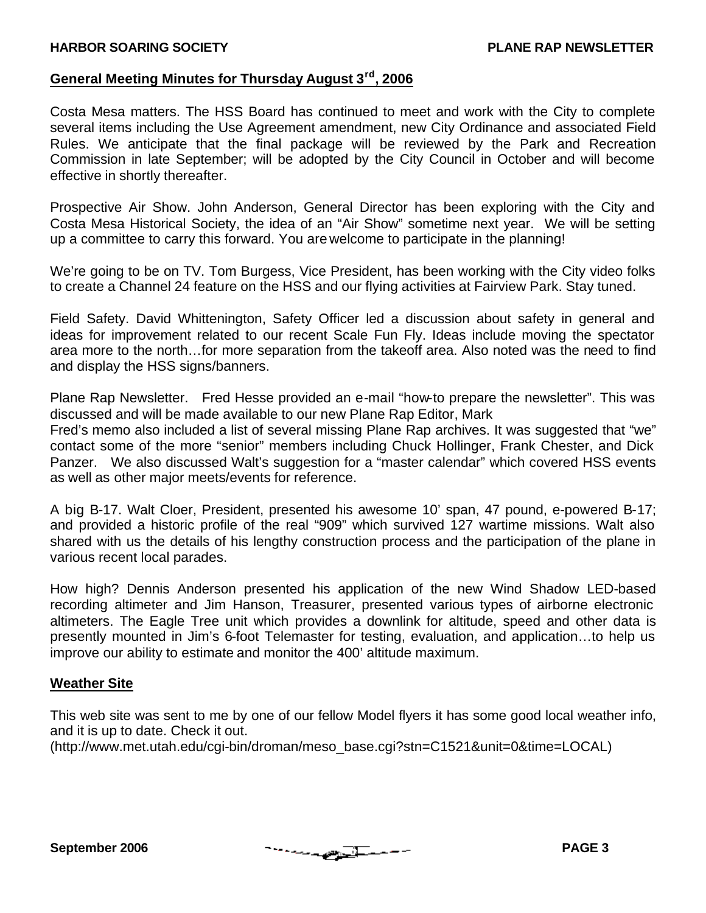### **General Meeting Minutes for Thursday August 3rd , 2006**

Costa Mesa matters. The HSS Board has continued to meet and work with the City to complete several items including the Use Agreement amendment, new City Ordinance and associated Field Rules. We anticipate that the final package will be reviewed by the Park and Recreation Commission in late September; will be adopted by the City Council in October and will become effective in shortly thereafter.

Prospective Air Show. John Anderson, General Director has been exploring with the City and Costa Mesa Historical Society, the idea of an "Air Show" sometime next year. We will be setting up a committee to carry this forward. You are welcome to participate in the planning!

We're going to be on TV. Tom Burgess, Vice President, has been working with the City video folks to create a Channel 24 feature on the HSS and our flying activities at Fairview Park. Stay tuned.

Field Safety. David Whittenington, Safety Officer led a discussion about safety in general and ideas for improvement related to our recent Scale Fun Fly. Ideas include moving the spectator area more to the north…for more separation from the takeoff area. Also noted was the need to find and display the HSS signs/banners.

Plane Rap Newsletter. Fred Hesse provided an e-mail "how-to prepare the newsletter". This was discussed and will be made available to our new Plane Rap Editor, Mark

Fred's memo also included a list of several missing Plane Rap archives. It was suggested that "we" contact some of the more "senior" members including Chuck Hollinger, Frank Chester, and Dick Panzer. We also discussed Walt's suggestion for a "master calendar" which covered HSS events as well as other major meets/events for reference.

A big B-17. Walt Cloer, President, presented his awesome 10' span, 47 pound, e-powered B-17; and provided a historic profile of the real "909" which survived 127 wartime missions. Walt also shared with us the details of his lengthy construction process and the participation of the plane in various recent local parades.

How high? Dennis Anderson presented his application of the new Wind Shadow LED-based recording altimeter and Jim Hanson, Treasurer, presented various types of airborne electronic altimeters. The Eagle Tree unit which provides a downlink for altitude, speed and other data is presently mounted in Jim's 6-foot Telemaster for testing, evaluation, and application…to help us improve our ability to estimate and monitor the 400' altitude maximum.

#### **Weather Site**

This web site was sent to me by one of our fellow Model flyers it has some good local weather info, and it is up to date. Check it out.

(http://www.met.utah.edu/cgi-bin/droman/meso\_base.cgi?stn=C1521&unit=0&time=LOCAL)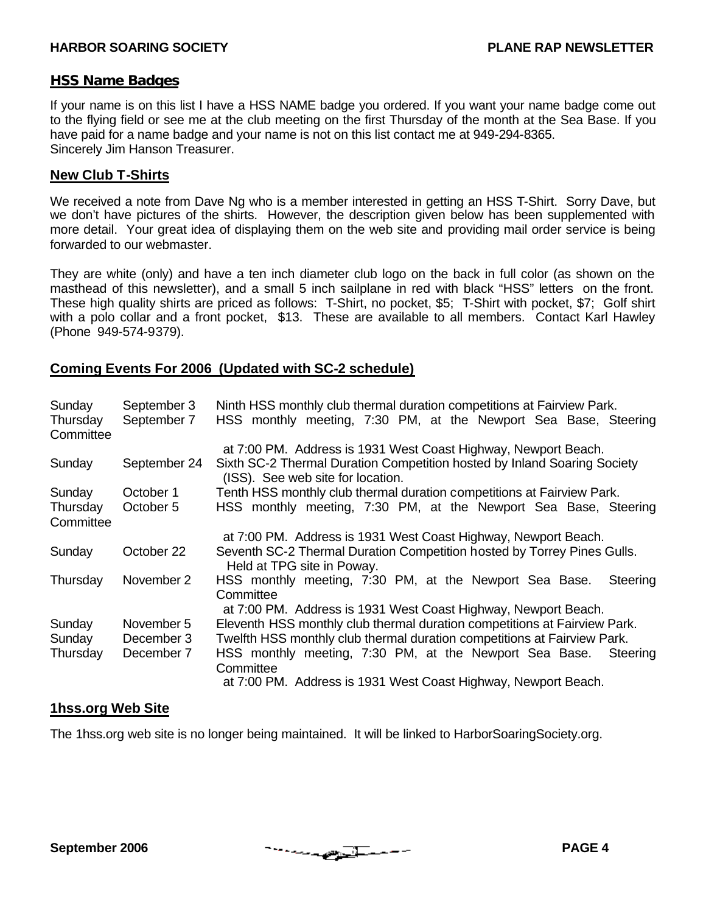#### **HSS Name Badges**

If your name is on this list I have a HSS NAME badge you ordered. If you want your name badge come out to the flying field or see me at the club meeting on the first Thursday of the month at the Sea Base. If you have paid for a name badge and your name is not on this list contact me at 949-294-8365. Sincerely Jim Hanson Treasurer.

#### **New Club T-Shirts**

We received a note from Dave Ng who is a member interested in getting an HSS T-Shirt. Sorry Dave, but we don't have pictures of the shirts. However, the description given below has been supplemented with more detail. Your great idea of displaying them on the web site and providing mail order service is being forwarded to our webmaster.

They are white (only) and have a ten inch diameter club logo on the back in full color (as shown on the masthead of this newsletter), and a small 5 inch sailplane in red with black "HSS" letters on the front. These high quality shirts are priced as follows: T-Shirt, no pocket, \$5; T-Shirt with pocket, \$7; Golf shirt with a polo collar and a front pocket, \$13. These are available to all members. Contact Karl Hawley (Phone 949-574-9379).

#### **Coming Events For 2006 (Updated with SC-2 schedule)**

| Sunday<br>Thursday<br>Committee | September 3<br>September 7 | Ninth HSS monthly club thermal duration competitions at Fairview Park.<br>HSS monthly meeting, 7:30 PM, at the Newport Sea Base, Steering |
|---------------------------------|----------------------------|-------------------------------------------------------------------------------------------------------------------------------------------|
|                                 |                            | at 7:00 PM. Address is 1931 West Coast Highway, Newport Beach.                                                                            |
| Sunday                          | September 24               | Sixth SC-2 Thermal Duration Competition hosted by Inland Soaring Society<br>(ISS). See web site for location.                             |
| Sunday                          | October 1                  | Tenth HSS monthly club thermal duration competitions at Fairview Park.                                                                    |
| Thursday<br>Committee           | October 5                  | HSS monthly meeting, 7:30 PM, at the Newport Sea Base, Steering                                                                           |
|                                 |                            | at 7:00 PM. Address is 1931 West Coast Highway, Newport Beach.                                                                            |
| Sunday                          | October 22                 | Seventh SC-2 Thermal Duration Competition hosted by Torrey Pines Gulls.<br>Held at TPG site in Poway.                                     |
| Thursday                        | November 2                 | HSS monthly meeting, 7:30 PM, at the Newport Sea Base.<br>Steering<br>Committee                                                           |
|                                 |                            | at 7:00 PM. Address is 1931 West Coast Highway, Newport Beach.                                                                            |
| Sunday                          | November 5                 | Eleventh HSS monthly club thermal duration competitions at Fairview Park.                                                                 |
| Sunday                          | December 3                 | Twelfth HSS monthly club thermal duration competitions at Fairview Park.                                                                  |
| Thursday                        | December 7                 | HSS monthly meeting, 7:30 PM, at the Newport Sea Base.<br>Steering<br>Committee                                                           |
|                                 |                            | at 7:00 PM. Address is 1931 West Coast Highway, Newport Beach.                                                                            |

#### **1hss.org Web Site**

The 1hss.org web site is no longer being maintained. It will be linked to HarborSoaringSociety.org.

**September 2006 PAGE 4**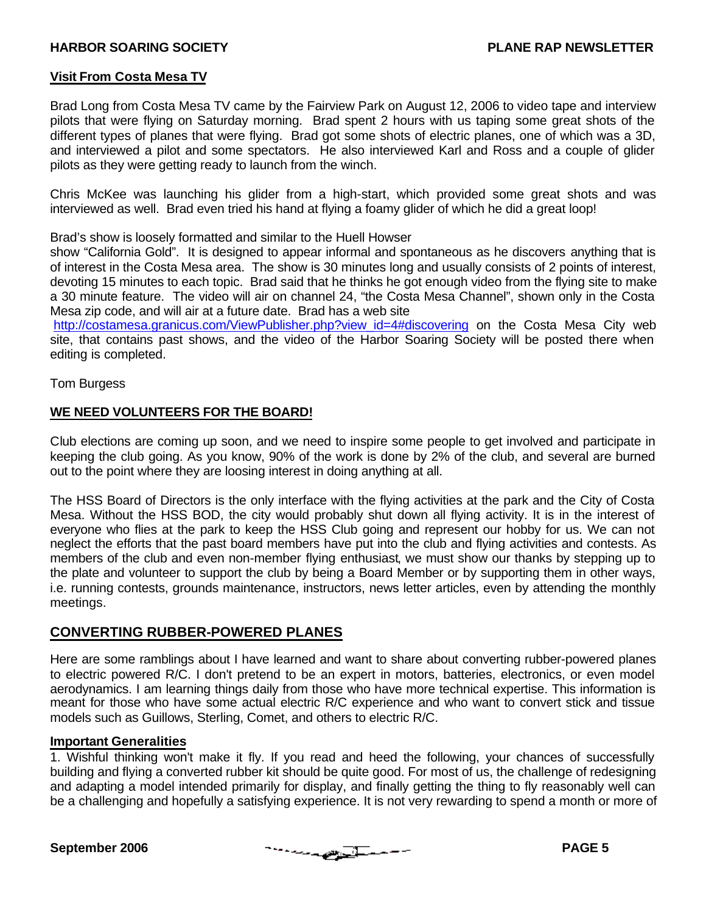#### **Visit From Costa Mesa TV**

Brad Long from Costa Mesa TV came by the Fairview Park on August 12, 2006 to video tape and interview pilots that were flying on Saturday morning. Brad spent 2 hours with us taping some great shots of the different types of planes that were flying. Brad got some shots of electric planes, one of which was a 3D, and interviewed a pilot and some spectators. He also interviewed Karl and Ross and a couple of glider pilots as they were getting ready to launch from the winch.

Chris McKee was launching his glider from a high-start, which provided some great shots and was interviewed as well. Brad even tried his hand at flying a foamy glider of which he did a great loop!

Brad's show is loosely formatted and similar to the Huell Howser

show "California Gold". It is designed to appear informal and spontaneous as he discovers anything that is of interest in the Costa Mesa area. The show is 30 minutes long and usually consists of 2 points of interest, devoting 15 minutes to each topic. Brad said that he thinks he got enough video from the flying site to make a 30 minute feature. The video will air on channel 24, "the Costa Mesa Channel", shown only in the Costa Mesa zip code, and will air at a future date. Brad has a web site

http://costamesa.granicus.com/ViewPublisher.php?view\_id=4#discovering on the Costa Mesa City web site, that contains past shows, and the video of the Harbor Soaring Society will be posted there when editing is completed.

Tom Burgess

#### **WE NEED VOLUNTEERS FOR THE BOARD!**

Club elections are coming up soon, and we need to inspire some people to get involved and participate in keeping the club going. As you know, 90% of the work is done by 2% of the club, and several are burned out to the point where they are loosing interest in doing anything at all.

The HSS Board of Directors is the only interface with the flying activities at the park and the City of Costa Mesa. Without the HSS BOD, the city would probably shut down all flying activity. It is in the interest of everyone who flies at the park to keep the HSS Club going and represent our hobby for us. We can not neglect the efforts that the past board members have put into the club and flying activities and contests. As members of the club and even non-member flying enthusiast, we must show our thanks by stepping up to the plate and volunteer to support the club by being a Board Member or by supporting them in other ways, i.e. running contests, grounds maintenance, instructors, news letter articles, even by attending the monthly meetings.

#### **CONVERTING RUBBER-POWERED PLANES**

Here are some ramblings about I have learned and want to share about converting rubber-powered planes to electric powered R/C. I don't pretend to be an expert in motors, batteries, electronics, or even model aerodynamics. I am learning things daily from those who have more technical expertise. This information is meant for those who have some actual electric R/C experience and who want to convert stick and tissue models such as Guillows, Sterling, Comet, and others to electric R/C.

#### **Important Generalities**

1. Wishful thinking won't make it fly. If you read and heed the following, your chances of successfully building and flying a converted rubber kit should be quite good. For most of us, the challenge of redesigning and adapting a model intended primarily for display, and finally getting the thing to fly reasonably well can be a challenging and hopefully a satisfying experience. It is not very rewarding to spend a month or more of

$$
\mathcal{L}^{\mathcal{L}}(\mathcal{L}^{\mathcal{L}}(\mathcal{L}^{\mathcal{L}}))=\mathcal{L}^{\mathcal{L}}(\mathcal{L}^{\mathcal{L}}(\mathcal{L}^{\mathcal{L}}))=\mathcal{L}^{\mathcal{L}}(\mathcal{L}^{\mathcal{L}}(\mathcal{L}^{\mathcal{L}}))
$$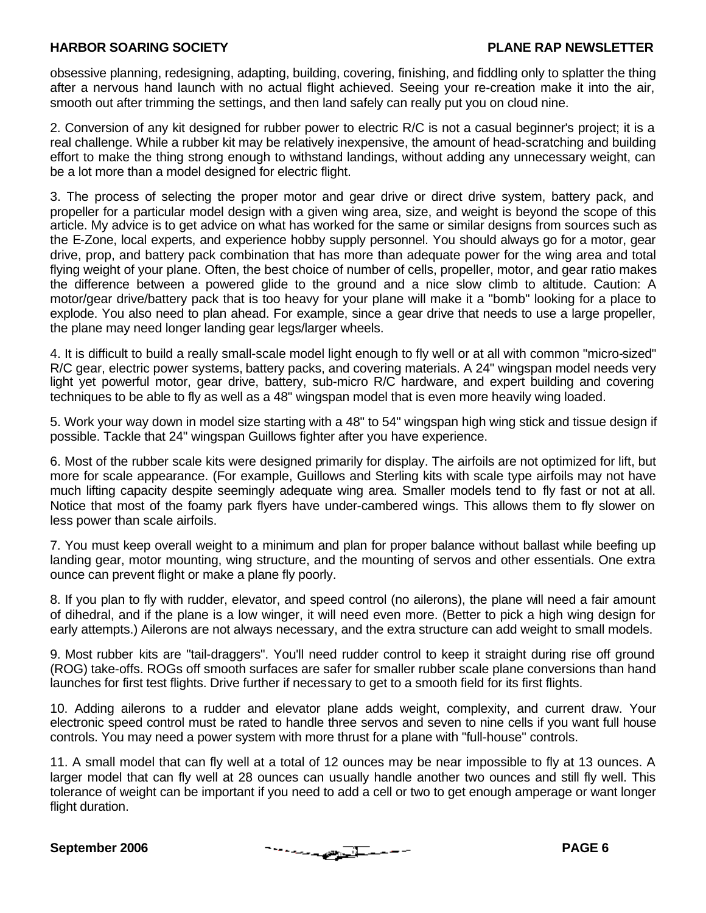obsessive planning, redesigning, adapting, building, covering, finishing, and fiddling only to splatter the thing after a nervous hand launch with no actual flight achieved. Seeing your re-creation make it into the air, smooth out after trimming the settings, and then land safely can really put you on cloud nine.

2. Conversion of any kit designed for rubber power to electric R/C is not a casual beginner's project; it is a real challenge. While a rubber kit may be relatively inexpensive, the amount of head-scratching and building effort to make the thing strong enough to withstand landings, without adding any unnecessary weight, can be a lot more than a model designed for electric flight.

3. The process of selecting the proper motor and gear drive or direct drive system, battery pack, and propeller for a particular model design with a given wing area, size, and weight is beyond the scope of this article. My advice is to get advice on what has worked for the same or similar designs from sources such as the E-Zone, local experts, and experience hobby supply personnel. You should always go for a motor, gear drive, prop, and battery pack combination that has more than adequate power for the wing area and total flying weight of your plane. Often, the best choice of number of cells, propeller, motor, and gear ratio makes the difference between a powered glide to the ground and a nice slow climb to altitude. Caution: A motor/gear drive/battery pack that is too heavy for your plane will make it a "bomb" looking for a place to explode. You also need to plan ahead. For example, since a gear drive that needs to use a large propeller, the plane may need longer landing gear legs/larger wheels.

4. It is difficult to build a really small-scale model light enough to fly well or at all with common "micro-sized" R/C gear, electric power systems, battery packs, and covering materials. A 24" wingspan model needs very light yet powerful motor, gear drive, battery, sub-micro R/C hardware, and expert building and covering techniques to be able to fly as well as a 48" wingspan model that is even more heavily wing loaded.

5. Work your way down in model size starting with a 48" to 54" wingspan high wing stick and tissue design if possible. Tackle that 24" wingspan Guillows fighter after you have experience.

6. Most of the rubber scale kits were designed primarily for display. The airfoils are not optimized for lift, but more for scale appearance. (For example, Guillows and Sterling kits with scale type airfoils may not have much lifting capacity despite seemingly adequate wing area. Smaller models tend to fly fast or not at all. Notice that most of the foamy park flyers have under-cambered wings. This allows them to fly slower on less power than scale airfoils.

7. You must keep overall weight to a minimum and plan for proper balance without ballast while beefing up landing gear, motor mounting, wing structure, and the mounting of servos and other essentials. One extra ounce can prevent flight or make a plane fly poorly.

8. If you plan to fly with rudder, elevator, and speed control (no ailerons), the plane will need a fair amount of dihedral, and if the plane is a low winger, it will need even more. (Better to pick a high wing design for early attempts.) Ailerons are not always necessary, and the extra structure can add weight to small models.

9. Most rubber kits are "tail-draggers". You'll need rudder control to keep it straight during rise off ground (ROG) take-offs. ROGs off smooth surfaces are safer for smaller rubber scale plane conversions than hand launches for first test flights. Drive further if necessary to get to a smooth field for its first flights.

10. Adding ailerons to a rudder and elevator plane adds weight, complexity, and current draw. Your electronic speed control must be rated to handle three servos and seven to nine cells if you want full house controls. You may need a power system with more thrust for a plane with "full-house" controls.

11. A small model that can fly well at a total of 12 ounces may be near impossible to fly at 13 ounces. A larger model that can fly well at 28 ounces can usually handle another two ounces and still fly well. This tolerance of weight can be important if you need to add a cell or two to get enough amperage or want longer flight duration.

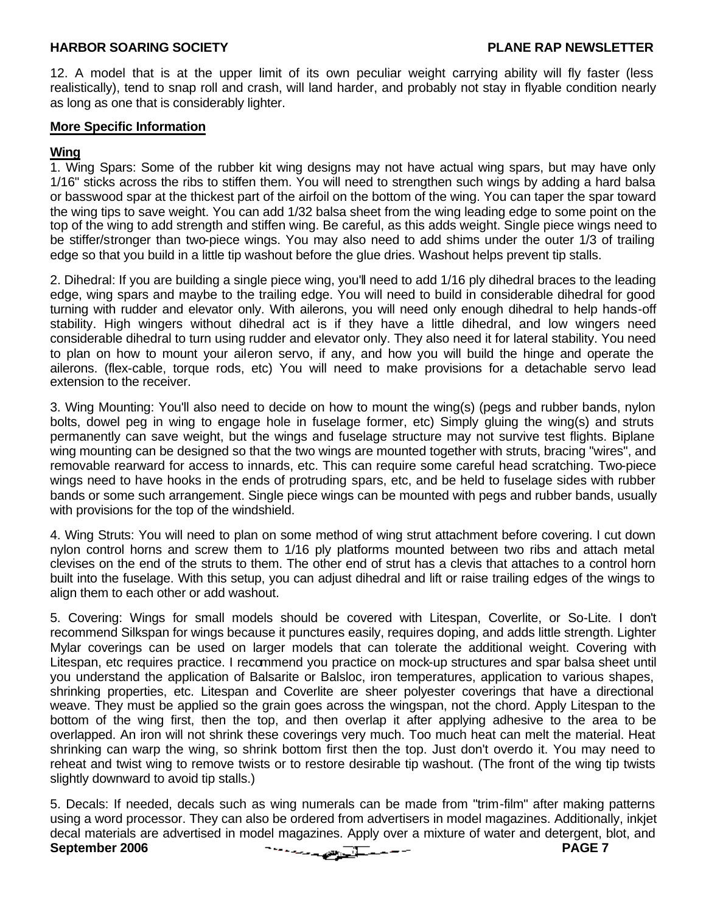12. A model that is at the upper limit of its own peculiar weight carrying ability will fly faster (less realistically), tend to snap roll and crash, will land harder, and probably not stay in flyable condition nearly as long as one that is considerably lighter.

#### **More Specific Information**

#### **Wing**

1. Wing Spars: Some of the rubber kit wing designs may not have actual wing spars, but may have only 1/16" sticks across the ribs to stiffen them. You will need to strengthen such wings by adding a hard balsa or basswood spar at the thickest part of the airfoil on the bottom of the wing. You can taper the spar toward the wing tips to save weight. You can add 1/32 balsa sheet from the wing leading edge to some point on the top of the wing to add strength and stiffen wing. Be careful, as this adds weight. Single piece wings need to be stiffer/stronger than two-piece wings. You may also need to add shims under the outer 1/3 of trailing edge so that you build in a little tip washout before the glue dries. Washout helps prevent tip stalls.

2. Dihedral: If you are building a single piece wing, you'll need to add 1/16 ply dihedral braces to the leading edge, wing spars and maybe to the trailing edge. You will need to build in considerable dihedral for good turning with rudder and elevator only. With ailerons, you will need only enough dihedral to help hands-off stability. High wingers without dihedral act is if they have a little dihedral, and low wingers need considerable dihedral to turn using rudder and elevator only. They also need it for lateral stability. You need to plan on how to mount your aileron servo, if any, and how you will build the hinge and operate the ailerons. (flex-cable, torque rods, etc) You will need to make provisions for a detachable servo lead extension to the receiver.

3. Wing Mounting: You'll also need to decide on how to mount the wing(s) (pegs and rubber bands, nylon bolts, dowel peg in wing to engage hole in fuselage former, etc) Simply gluing the wing(s) and struts permanently can save weight, but the wings and fuselage structure may not survive test flights. Biplane wing mounting can be designed so that the two wings are mounted together with struts, bracing "wires", and removable rearward for access to innards, etc. This can require some careful head scratching. Two-piece wings need to have hooks in the ends of protruding spars, etc, and be held to fuselage sides with rubber bands or some such arrangement. Single piece wings can be mounted with pegs and rubber bands, usually with provisions for the top of the windshield.

4. Wing Struts: You will need to plan on some method of wing strut attachment before covering. I cut down nylon control horns and screw them to 1/16 ply platforms mounted between two ribs and attach metal clevises on the end of the struts to them. The other end of strut has a clevis that attaches to a control horn built into the fuselage. With this setup, you can adjust dihedral and lift or raise trailing edges of the wings to align them to each other or add washout.

5. Covering: Wings for small models should be covered with Litespan, Coverlite, or So-Lite. I don't recommend Silkspan for wings because it punctures easily, requires doping, and adds little strength. Lighter Mylar coverings can be used on larger models that can tolerate the additional weight. Covering with Litespan, etc requires practice. I recommend you practice on mock-up structures and spar balsa sheet until you understand the application of Balsarite or Balsloc, iron temperatures, application to various shapes, shrinking properties, etc. Litespan and Coverlite are sheer polyester coverings that have a directional weave. They must be applied so the grain goes across the wingspan, not the chord. Apply Litespan to the bottom of the wing first, then the top, and then overlap it after applying adhesive to the area to be overlapped. An iron will not shrink these coverings very much. Too much heat can melt the material. Heat shrinking can warp the wing, so shrink bottom first then the top. Just don't overdo it. You may need to reheat and twist wing to remove twists or to restore desirable tip washout. (The front of the wing tip twists slightly downward to avoid tip stalls.)

**September 2006 PAGE 7** 5. Decals: If needed, decals such as wing numerals can be made from "trim-film" after making patterns using a word processor. They can also be ordered from advertisers in model magazines. Additionally, inkjet decal materials are advertised in model magazines. Apply over a mixture of water and detergent, blot, and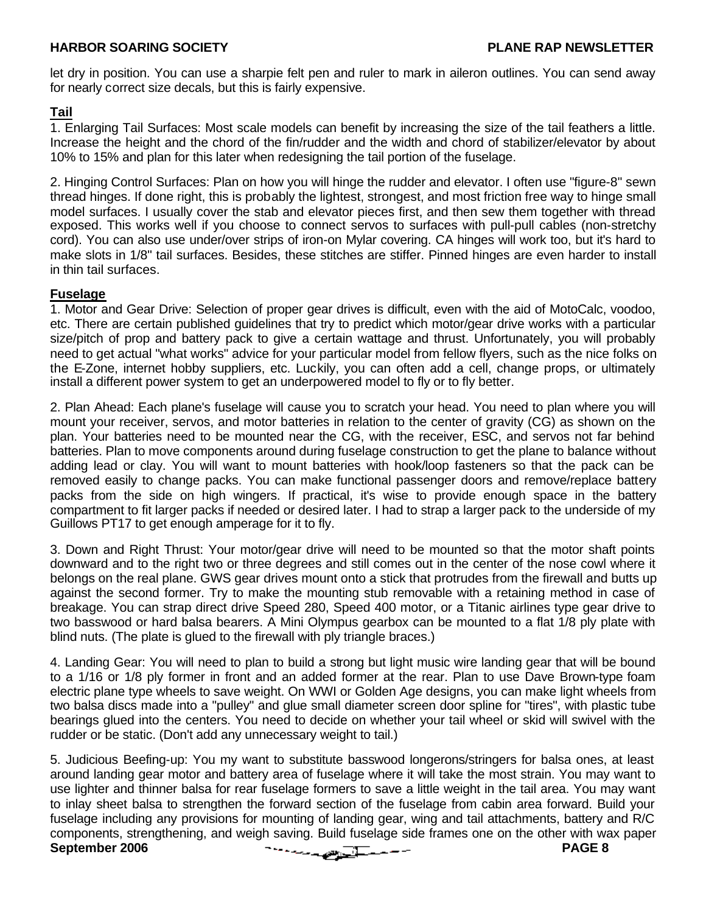let dry in position. You can use a sharpie felt pen and ruler to mark in aileron outlines. You can send away for nearly correct size decals, but this is fairly expensive.

#### **Tail**

1. Enlarging Tail Surfaces: Most scale models can benefit by increasing the size of the tail feathers a little. Increase the height and the chord of the fin/rudder and the width and chord of stabilizer/elevator by about 10% to 15% and plan for this later when redesigning the tail portion of the fuselage.

2. Hinging Control Surfaces: Plan on how you will hinge the rudder and elevator. I often use "figure-8" sewn thread hinges. If done right, this is probably the lightest, strongest, and most friction free way to hinge small model surfaces. I usually cover the stab and elevator pieces first, and then sew them together with thread exposed. This works well if you choose to connect servos to surfaces with pull-pull cables (non-stretchy cord). You can also use under/over strips of iron-on Mylar covering. CA hinges will work too, but it's hard to make slots in 1/8" tail surfaces. Besides, these stitches are stiffer. Pinned hinges are even harder to install in thin tail surfaces.

#### **Fuselage**

1. Motor and Gear Drive: Selection of proper gear drives is difficult, even with the aid of MotoCalc, voodoo, etc. There are certain published guidelines that try to predict which motor/gear drive works with a particular size/pitch of prop and battery pack to give a certain wattage and thrust. Unfortunately, you will probably need to get actual "what works" advice for your particular model from fellow flyers, such as the nice folks on the E-Zone, internet hobby suppliers, etc. Luckily, you can often add a cell, change props, or ultimately install a different power system to get an underpowered model to fly or to fly better.

2. Plan Ahead: Each plane's fuselage will cause you to scratch your head. You need to plan where you will mount your receiver, servos, and motor batteries in relation to the center of gravity (CG) as shown on the plan. Your batteries need to be mounted near the CG, with the receiver, ESC, and servos not far behind batteries. Plan to move components around during fuselage construction to get the plane to balance without adding lead or clay. You will want to mount batteries with hook/loop fasteners so that the pack can be removed easily to change packs. You can make functional passenger doors and remove/replace battery packs from the side on high wingers. If practical, it's wise to provide enough space in the battery compartment to fit larger packs if needed or desired later. I had to strap a larger pack to the underside of my Guillows PT17 to get enough amperage for it to fly.

3. Down and Right Thrust: Your motor/gear drive will need to be mounted so that the motor shaft points downward and to the right two or three degrees and still comes out in the center of the nose cowl where it belongs on the real plane. GWS gear drives mount onto a stick that protrudes from the firewall and butts up against the second former. Try to make the mounting stub removable with a retaining method in case of breakage. You can strap direct drive Speed 280, Speed 400 motor, or a Titanic airlines type gear drive to two basswood or hard balsa bearers. A Mini Olympus gearbox can be mounted to a flat 1/8 ply plate with blind nuts. (The plate is glued to the firewall with ply triangle braces.)

4. Landing Gear: You will need to plan to build a strong but light music wire landing gear that will be bound to a 1/16 or 1/8 ply former in front and an added former at the rear. Plan to use Dave Brown-type foam electric plane type wheels to save weight. On WWI or Golden Age designs, you can make light wheels from two balsa discs made into a "pulley" and glue small diameter screen door spline for "tires", with plastic tube bearings glued into the centers. You need to decide on whether your tail wheel or skid will swivel with the rudder or be static. (Don't add any unnecessary weight to tail.)

**September 2006 PAGE 8** 5. Judicious Beefing-up: You my want to substitute basswood longerons/stringers for balsa ones, at least around landing gear motor and battery area of fuselage where it will take the most strain. You may want to use lighter and thinner balsa for rear fuselage formers to save a little weight in the tail area. You may want to inlay sheet balsa to strengthen the forward section of the fuselage from cabin area forward. Build your fuselage including any provisions for mounting of landing gear, wing and tail attachments, battery and R/C components, strengthening, and weigh saving. Build fuselage side frames one on the other with wax paper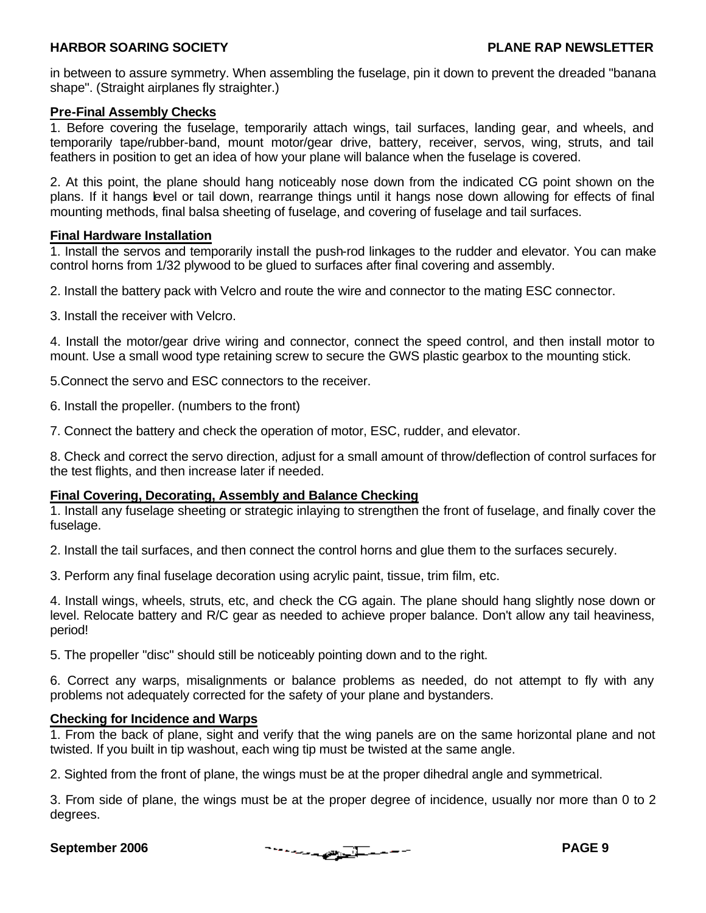in between to assure symmetry. When assembling the fuselage, pin it down to prevent the dreaded "banana shape". (Straight airplanes fly straighter.)

#### **Pre-Final Assembly Checks**

1. Before covering the fuselage, temporarily attach wings, tail surfaces, landing gear, and wheels, and temporarily tape/rubber-band, mount motor/gear drive, battery, receiver, servos, wing, struts, and tail feathers in position to get an idea of how your plane will balance when the fuselage is covered.

2. At this point, the plane should hang noticeably nose down from the indicated CG point shown on the plans. If it hangs level or tail down, rearrange things until it hangs nose down allowing for effects of final mounting methods, final balsa sheeting of fuselage, and covering of fuselage and tail surfaces.

#### **Final Hardware Installation**

1. Install the servos and temporarily install the push-rod linkages to the rudder and elevator. You can make control horns from 1/32 plywood to be glued to surfaces after final covering and assembly.

2. Install the battery pack with Velcro and route the wire and connector to the mating ESC connector.

3. Install the receiver with Velcro.

4. Install the motor/gear drive wiring and connector, connect the speed control, and then install motor to mount. Use a small wood type retaining screw to secure the GWS plastic gearbox to the mounting stick.

5.Connect the servo and ESC connectors to the receiver.

6. Install the propeller. (numbers to the front)

7. Connect the battery and check the operation of motor, ESC, rudder, and elevator.

8. Check and correct the servo direction, adjust for a small amount of throw/deflection of control surfaces for the test flights, and then increase later if needed.

#### **Final Covering, Decorating, Assembly and Balance Checking**

1. Install any fuselage sheeting or strategic inlaying to strengthen the front of fuselage, and finally cover the fuselage.

2. Install the tail surfaces, and then connect the control horns and glue them to the surfaces securely.

3. Perform any final fuselage decoration using acrylic paint, tissue, trim film, etc.

4. Install wings, wheels, struts, etc, and check the CG again. The plane should hang slightly nose down or level. Relocate battery and R/C gear as needed to achieve proper balance. Don't allow any tail heaviness, period!

5. The propeller "disc" should still be noticeably pointing down and to the right.

6. Correct any warps, misalignments or balance problems as needed, do not attempt to fly with any problems not adequately corrected for the safety of your plane and bystanders.

#### **Checking for Incidence and Warps**

1. From the back of plane, sight and verify that the wing panels are on the same horizontal plane and not twisted. If you built in tip washout, each wing tip must be twisted at the same angle.

2. Sighted from the front of plane, the wings must be at the proper dihedral angle and symmetrical.

3. From side of plane, the wings must be at the proper degree of incidence, usually nor more than 0 to 2 degrees.

**September 2006 PAGE 9**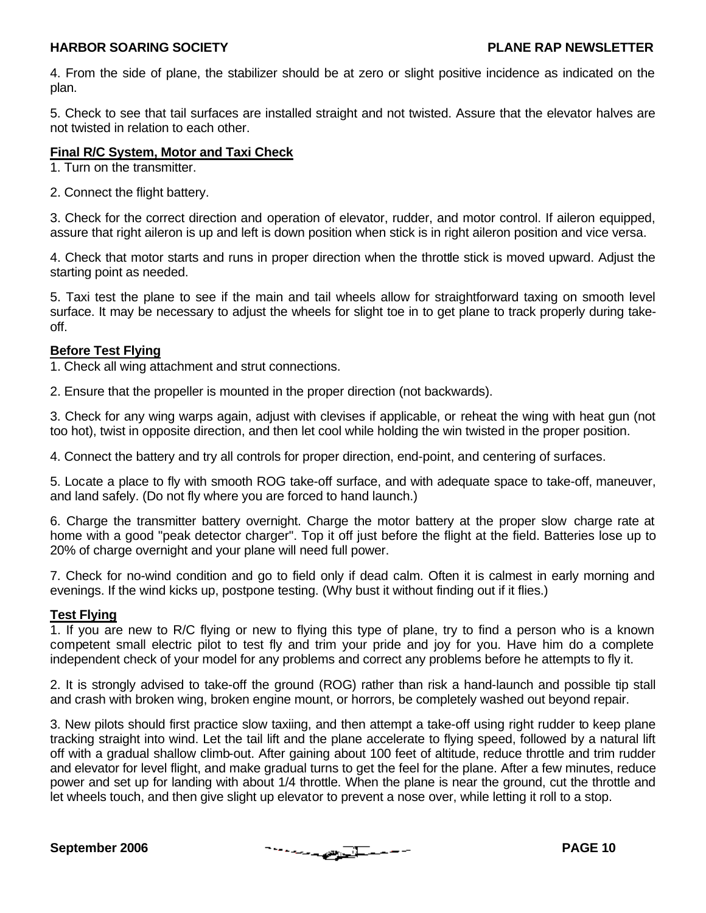4. From the side of plane, the stabilizer should be at zero or slight positive incidence as indicated on the plan.

5. Check to see that tail surfaces are installed straight and not twisted. Assure that the elevator halves are not twisted in relation to each other.

#### **Final R/C System, Motor and Taxi Check**

1. Turn on the transmitter.

2. Connect the flight battery.

3. Check for the correct direction and operation of elevator, rudder, and motor control. If aileron equipped, assure that right aileron is up and left is down position when stick is in right aileron position and vice versa.

4. Check that motor starts and runs in proper direction when the throttle stick is moved upward. Adjust the starting point as needed.

5. Taxi test the plane to see if the main and tail wheels allow for straightforward taxing on smooth level surface. It may be necessary to adjust the wheels for slight toe in to get plane to track properly during takeoff.

#### **Before Test Flying**

1. Check all wing attachment and strut connections.

2. Ensure that the propeller is mounted in the proper direction (not backwards).

3. Check for any wing warps again, adjust with clevises if applicable, or reheat the wing with heat gun (not too hot), twist in opposite direction, and then let cool while holding the win twisted in the proper position.

4. Connect the battery and try all controls for proper direction, end-point, and centering of surfaces.

5. Locate a place to fly with smooth ROG take-off surface, and with adequate space to take-off, maneuver, and land safely. (Do not fly where you are forced to hand launch.)

6. Charge the transmitter battery overnight. Charge the motor battery at the proper slow charge rate at home with a good "peak detector charger". Top it off just before the flight at the field. Batteries lose up to 20% of charge overnight and your plane will need full power.

7. Check for no-wind condition and go to field only if dead calm. Often it is calmest in early morning and evenings. If the wind kicks up, postpone testing. (Why bust it without finding out if it flies.)

#### **Test Flying**

1. If you are new to R/C flying or new to flying this type of plane, try to find a person who is a known competent small electric pilot to test fly and trim your pride and joy for you. Have him do a complete independent check of your model for any problems and correct any problems before he attempts to fly it.

2. It is strongly advised to take-off the ground (ROG) rather than risk a hand-launch and possible tip stall and crash with broken wing, broken engine mount, or horrors, be completely washed out beyond repair.

3. New pilots should first practice slow taxiing, and then attempt a take-off using right rudder to keep plane tracking straight into wind. Let the tail lift and the plane accelerate to flying speed, followed by a natural lift off with a gradual shallow climb-out. After gaining about 100 feet of altitude, reduce throttle and trim rudder and elevator for level flight, and make gradual turns to get the feel for the plane. After a few minutes, reduce power and set up for landing with about 1/4 throttle. When the plane is near the ground, cut the throttle and let wheels touch, and then give slight up elevator to prevent a nose over, while letting it roll to a stop.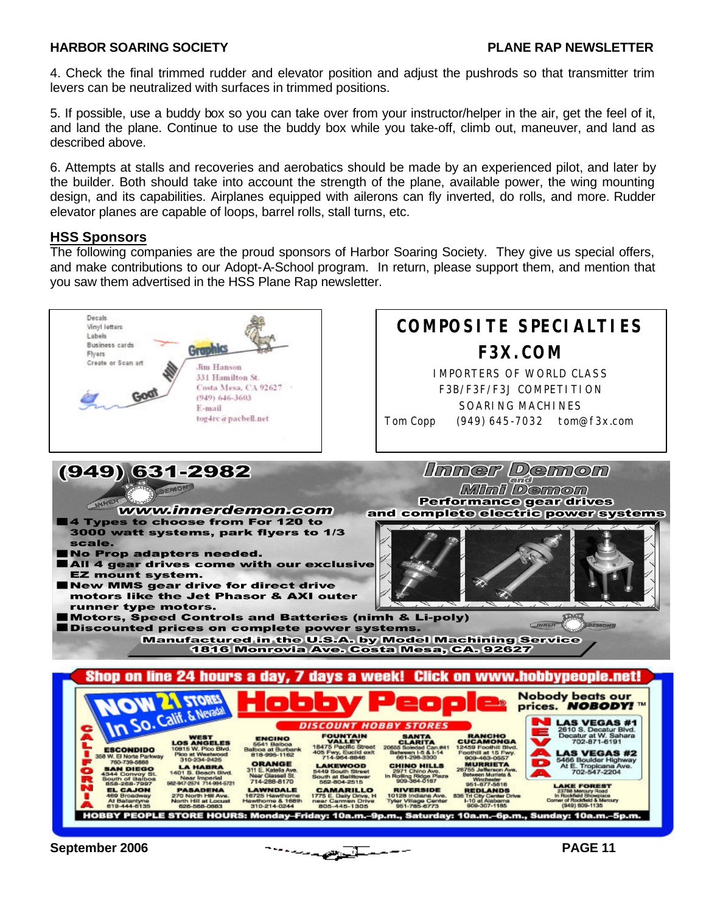4. Check the final trimmed rudder and elevator position and adjust the pushrods so that transmitter trim levers can be neutralized with surfaces in trimmed positions.

5. If possible, use a buddy box so you can take over from your instructor/helper in the air, get the feel of it, and land the plane. Continue to use the buddy box while you take-off, climb out, maneuver, and land as described above.

6. Attempts at stalls and recoveries and aerobatics should be made by an experienced pilot, and later by the builder. Both should take into account the strength of the plane, available power, the wing mounting design, and its capabilities. Airplanes equipped with ailerons can fly inverted, do rolls, and more. Rudder elevator planes are capable of loops, barrel rolls, stall turns, etc.

#### **HSS Sponsors**

The following companies are the proud sponsors of Harbor Soaring Society. They give us special offers, and make contributions to our Adopt-A-School program. In return, please support them, and mention that you saw them advertised in the HSS Plane Rap newsletter.